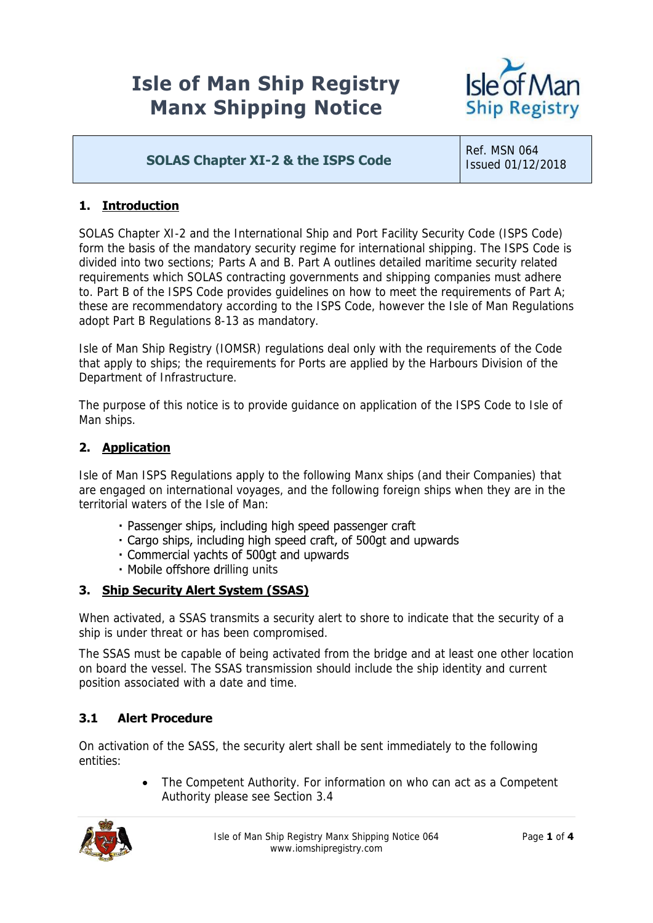# **Isle of Man Ship Registry Manx Shipping Notice**



# **SOLAS Chapter XI-2 & the ISPS Code**

Ref. MSN 064 Issued 01/12/2018

## **1. Introduction**

SOLAS Chapter XI-2 and the International Ship and Port Facility Security Code (ISPS Code) form the basis of the mandatory security regime for international shipping. The ISPS Code is divided into two sections; Parts A and B. Part A outlines detailed maritime security related requirements which SOLAS contracting governments and shipping companies must adhere to. Part B of the ISPS Code provides guidelines on how to meet the requirements of Part A; these are recommendatory according to the ISPS Code, however the Isle of Man Regulations adopt Part B Regulations 8-13 as mandatory.

Isle of Man Ship Registry (IOMSR) regulations deal only with the requirements of the Code that apply to ships; the requirements for Ports are applied by the Harbours Division of the Department of Infrastructure.

The purpose of this notice is to provide guidance on application of the ISPS Code to Isle of Man ships.

#### **2. Application**

Isle of Man ISPS Regulations apply to the following Manx ships (and their Companies) that are engaged on international voyages, and the following foreign ships when they are in the territorial waters of the Isle of Man:

- · Passenger ships, including high speed passenger craft
- . Cargo ships, including high speed craft, of 500gt and upwards
- · Commercial yachts of 500gt and upwards
- Mobile offshore drilling units

#### **3. Ship Security Alert System (SSAS)**

When activated, a SSAS transmits a security alert to shore to indicate that the security of a ship is under threat or has been compromised.

The SSAS must be capable of being activated from the bridge and at least one other location on board the vessel. The SSAS transmission should include the ship identity and current position associated with a date and time.

## **3.1 Alert Procedure**

On activation of the SASS, the security alert shall be sent immediately to the following entities:

> • The Competent Authority. For information on who can act as a Competent Authority please see Section 3.4

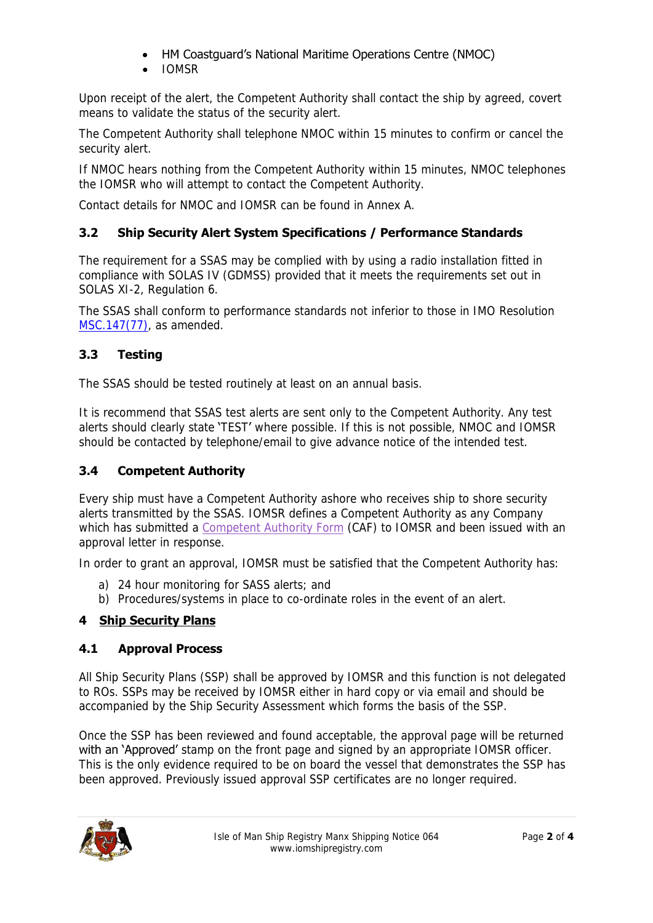## HM Coastguard's National Maritime Operations Centre (NMOC)

IOMSR

Upon receipt of the alert, the Competent Authority shall contact the ship by agreed, covert means to validate the status of the security alert.

The Competent Authority shall telephone NMOC within 15 minutes to confirm or cancel the security alert.

If NMOC hears nothing from the Competent Authority within 15 minutes, NMOC telephones the IOMSR who will attempt to contact the Competent Authority.

Contact details for NMOC and IOMSR can be found in Annex A.

## **3.2 Ship Security Alert System Specifications / Performance Standards**

The requirement for a SSAS may be complied with by using a radio installation fitted in compliance with SOLAS IV (GDMSS) provided that it meets the requirements set out in SOLAS XI-2, Regulation 6.

The SSAS shall conform to performance standards not inferior to those in IMO Resolution [MSC.147\(77\),](http://www.imo.org/en/OurWork/Security/Guide_to_Maritime_Security/Guidance/Documents/MSC.147(77).pdf) as amended.

## **3.3 Testing**

The SSAS should be tested routinely at least on an annual basis.

It is recommend that SSAS test alerts are sent only to the Competent Authority. Any test alerts should clearly state 'TEST' where possible. If this is not possible, NMOC and IOMSR should be contacted by telephone/email to give advance notice of the intended test.

#### **3.4 Competent Authority**

Every ship must have a Competent Authority ashore who receives ship to shore security alerts transmitted by the SSAS. IOMSR defines a Competent Authority as any Company which has submitted a [Competent Authority Form](https://www.iomshipregistry.com/media/1918/s016-competent-authority-form-07.pdf) (CAF) to IOMSR and been issued with an approval letter in response.

In order to grant an approval, IOMSR must be satisfied that the Competent Authority has:

- a) 24 hour monitoring for SASS alerts; and
- b) Procedures/systems in place to co-ordinate roles in the event of an alert.

#### **4 Ship Security Plans**

#### **4.1 Approval Process**

All Ship Security Plans (SSP) shall be approved by IOMSR and this function is not delegated to ROs. SSPs may be received by IOMSR either in hard copy or via email and should be accompanied by the Ship Security Assessment which forms the basis of the SSP.

Once the SSP has been reviewed and found acceptable, the approval page will be returned with an 'Approved' stamp on the front page and signed by an appropriate IOMSR officer. This is the only evidence required to be on board the vessel that demonstrates the SSP has been approved. Previously issued approval SSP certificates are no longer required.

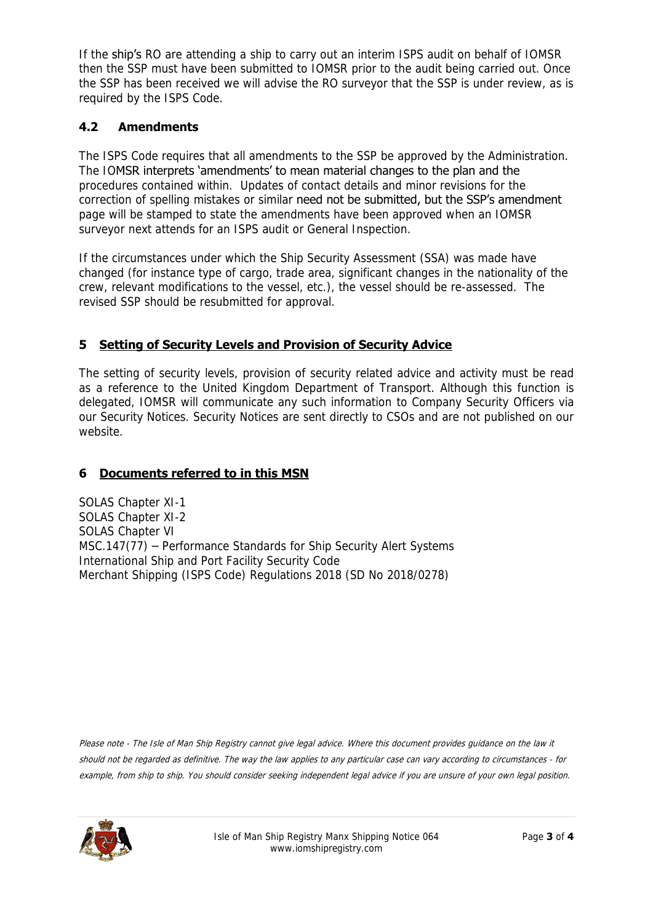If the ship's RO are attending a ship to carry out an interim ISPS audit on behalf of IOMSR then the SSP must have been submitted to IOMSR prior to the audit being carried out. Once the SSP has been received we will advise the RO surveyor that the SSP is under review, as is required by the ISPS Code.

## **4.2 Amendments**

The ISPS Code requires that all amendments to the SSP be approved by the Administration. The IOMSR interprets 'amendments' to mean material changes to the plan and the procedures contained within. Updates of contact details and minor revisions for the correction of spelling mistakes or similar need not be submitted, but the SSP's amendment page will be stamped to state the amendments have been approved when an IOMSR surveyor next attends for an ISPS audit or General Inspection.

If the circumstances under which the Ship Security Assessment (SSA) was made have changed (for instance type of cargo, trade area, significant changes in the nationality of the crew, relevant modifications to the vessel, etc.), the vessel should be re-assessed. The revised SSP should be resubmitted for approval.

## **5 Setting of Security Levels and Provision of Security Advice**

The setting of security levels, provision of security related advice and activity must be read as a reference to the United Kingdom Department of Transport. Although this function is delegated, IOMSR will communicate any such information to Company Security Officers via our Security Notices. Security Notices are sent directly to CSOs and are not published on our website.

## **6 Documents referred to in this MSN**

SOLAS Chapter XI-1 SOLAS Chapter XI-2 SOLAS Chapter VI MSC.147(77) – Performance Standards for Ship Security Alert Systems International Ship and Port Facility Security Code Merchant Shipping (ISPS Code) Regulations 2018 (SD No 2018/0278)

Please note - The Isle of Man Ship Registry cannot give legal advice. Where this document provides guidance on the law it should not be regarded as definitive. The way the law applies to any particular case can vary according to circumstances - for example, from ship to ship. You should consider seeking independent legal advice if you are unsure of your own legal position.